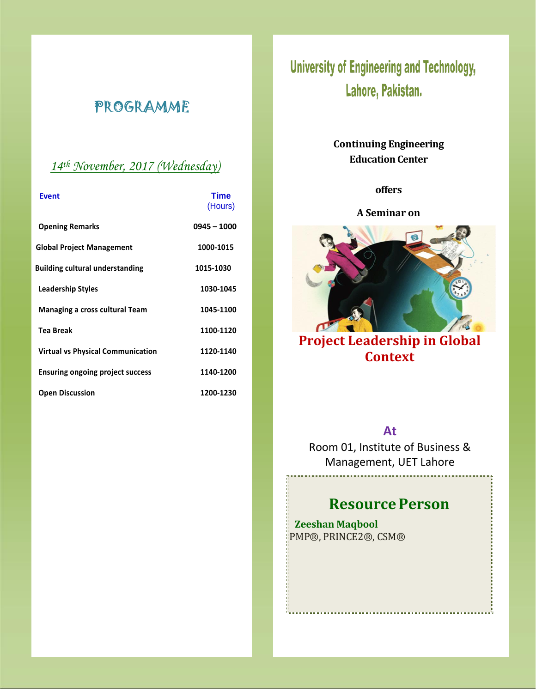# PROGRAMME

### *14 th November, 2017 (Wednesday)*

| <b>Event</b>                             | Time<br>(Hours) |
|------------------------------------------|-----------------|
| <b>Opening Remarks</b>                   | 0945 - 1000     |
| <b>Global Project Management</b>         | 1000-1015       |
| <b>Building cultural understanding</b>   | 1015-1030       |
| <b>Leadership Styles</b>                 | 1030-1045       |
| <b>Managing a cross cultural Team</b>    | 1045-1100       |
| <b>Tea Break</b>                         | 1100-1120       |
| <b>Virtual vs Physical Communication</b> | 1120-1140       |
| <b>Ensuring ongoing project success</b>  | 1140-1200       |
| <b>Open Discussion</b>                   | 1200-1230       |

# **University of Engineering and Technology,** Lahore, Pakistan.

### **Continuing Engineering Education Center**

### **offers**

### **A Seminar on**



# **Project Leadership in Global Context**

### **At**

Room 01, Institute of Business & Management, UET Lahore

# **Resource Person**

**Zeeshan Maqbool** PMP®, PRINCE2®, CSM®